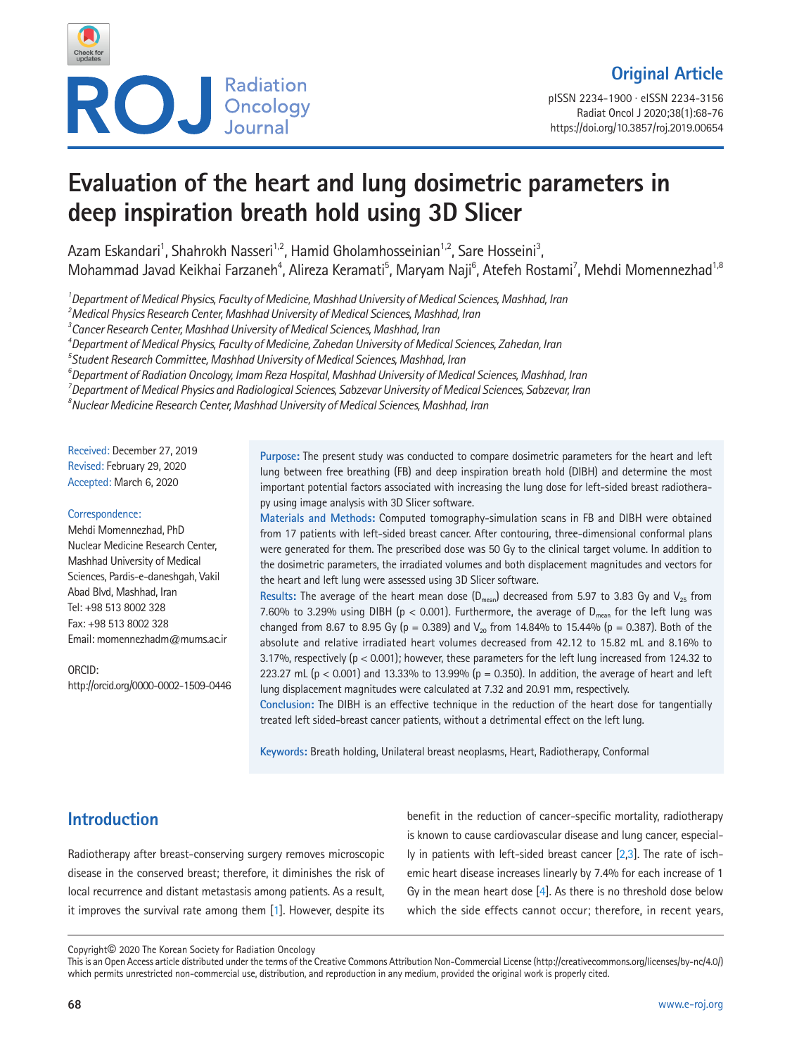

pISSN 2234-1900 · eISSN 2234-3156 Radiat Oncol J 2020;38(1):68-76 https://doi.org/10.3857/roj.2019.00654

# **Evaluation of the heart and lung dosimetric parameters in deep inspiration breath hold using 3D Slicer**

Azam Eskandari<sup>1</sup>, Shahrokh Nasseri<sup>1,2</sup>, Hamid Gholamhosseinian<sup>1,2</sup>, Sare Hosseini<sup>3</sup>, Mohammad Javad Keikhai Farzaneh<sup>4</sup>, Alireza Keramati<sup>5</sup>, Maryam Naji<sup>6</sup>, Atefeh Rostami<sup>7</sup>, Mehdi Momennezhad<sup>1,8</sup>

*1 Department of Medical Physics, Faculty of Medicine, Mashhad University of Medical Sciences, Mashhad, Iran*

*2 Medical Physics Research Center, Mashhad University of Medical Sciences, Mashhad, Iran*

*3 Cancer Research Center, Mashhad University of Medical Sciences, Mashhad, Iran*

*4 Department of Medical Physics, Faculty of Medicine, Zahedan University of Medical Sciences, Zahedan, Iran*

*5 Student Research Committee, Mashhad University of Medical Sciences, Mashhad, Iran*

*6 Department of Radiation Oncology, Imam Reza Hospital, Mashhad University of Medical Sciences, Mashhad, Iran*

*7 Department of Medical Physics and Radiological Sciences, Sabzevar University of Medical Sciences, Sabzevar, Iran*

*8 Nuclear Medicine Research Center, Mashhad University of Medical Sciences, Mashhad, Iran*

Received: December 27, 2019 Revised: February 29, 2020 Accepted: March 6, 2020

#### Correspondence:

Mehdi Momennezhad, PhD Nuclear Medicine Research Center, Mashhad University of Medical Sciences, Pardis-e-daneshgah, Vakil Abad Blvd, Mashhad, Iran Tel: +98 513 8002 328 Fax: +98 513 8002 328 Email: momennezhadm@mums.ac.ir

ORCID: http://orcid.org/0000-0002-1509-0446

**Purpose:** The present study was conducted to compare dosimetric parameters for the heart and left lung between free breathing (FB) and deep inspiration breath hold (DIBH) and determine the most important potential factors associated with increasing the lung dose for left-sided breast radiotherapy using image analysis with 3D Slicer software.

**Materials and Methods:** Computed tomography-simulation scans in FB and DIBH were obtained from 17 patients with left-sided breast cancer. After contouring, three-dimensional conformal plans were generated for them. The prescribed dose was 50 Gy to the clinical target volume. In addition to the dosimetric parameters, the irradiated volumes and both displacement magnitudes and vectors for the heart and left lung were assessed using 3D Slicer software.

**Results:** The average of the heart mean dose  $(D_{mean})$  decreased from 5.97 to 3.83 Gy and  $V_{25}$  from 7.60% to 3.29% using DIBH ( $p < 0.001$ ). Furthermore, the average of  $D_{mean}$  for the left lung was changed from 8.67 to 8.95 Gy (p = 0.389) and  $V_{20}$  from 14.84% to 15.44% (p = 0.387). Both of the absolute and relative irradiated heart volumes decreased from 42.12 to 15.82 mL and 8.16% to 3.17%, respectively (p < 0.001); however, these parameters for the left lung increased from 124.32 to 223.27 mL ( $p < 0.001$ ) and 13.33% to 13.99% ( $p = 0.350$ ). In addition, the average of heart and left lung displacement magnitudes were calculated at 7.32 and 20.91 mm, respectively.

**Conclusion:** The DIBH is an effective technique in the reduction of the heart dose for tangentially treated left sided-breast cancer patients, without a detrimental effect on the left lung.

**Keywords:** Breath holding, Unilateral breast neoplasms, Heart, Radiotherapy, Conformal

# **Introduction**

Radiotherapy after breast-conserving surgery removes microscopic disease in the conserved breast; therefore, it diminishes the risk of local recurrence and distant metastasis among patients. As a result, it improves the survival rate among them [\[1](#page-6-0)]. However, despite its

benefit in the reduction of cancer-specific mortality, radiotherapy is known to cause cardiovascular disease and lung cancer, especially in patients with left-sided breast cancer  $[2,3]$  $[2,3]$ . The rate of ischemic heart disease increases linearly by 7.4% for each increase of 1 Gy in the mean heart dose [\[4](#page-6-3)]. As there is no threshold dose below which the side effects cannot occur; therefore, in recent years,

Copyright© 2020 The Korean Society for Radiation Oncology

This is an Open Access article distributed under the terms of the Creative Commons Attribution Non-Commercial License (http://creativecommons.org/licenses/by-nc/4.0/) which permits unrestricted non-commercial use, distribution, and reproduction in any medium, provided the original work is properly cited.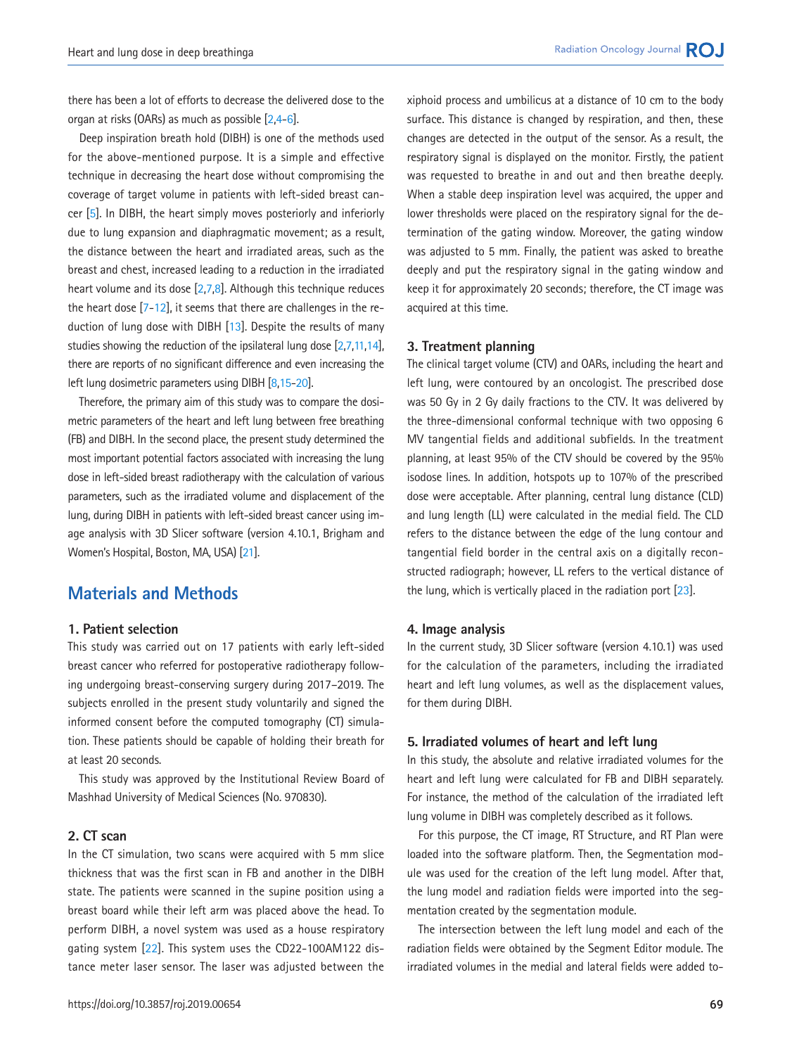there has been a lot of efforts to decrease the delivered dose to the organ at risks (OARs) as much as possible [\[2,](#page-6-1)[4](#page-6-3)[-6](#page-6-4)].

Deep inspiration breath hold (DIBH) is one of the methods used for the above-mentioned purpose. It is a simple and effective technique in decreasing the heart dose without compromising the coverage of target volume in patients with left-sided breast cancer [\[5](#page-6-5)]. In DIBH, the heart simply moves posteriorly and inferiorly due to lung expansion and diaphragmatic movement; as a result, the distance between the heart and irradiated areas, such as the breast and chest, increased leading to a reduction in the irradiated heart volume and its dose [\[2](#page-6-1)[,7](#page-6-5)[,8](#page-6-6)]. Although this technique reduces the heart dose  $[7-12]$  $[7-12]$  $[7-12]$  $[7-12]$ , it seems that there are challenges in the reduction of lung dose with DIBH [\[13](#page-7-1)]. Despite the results of many studies showing the reduction of the ipsilateral lung dose [\[2](#page-6-1)[,7](#page-6-5)[,11](#page-6-7)[,14\]](#page-7-2), there are reports of no significant difference and even increasing the left lung dosimetric parameters using DIBH [\[8](#page-6-6)[,15](#page-7-3)[-20\]](#page-7-4).

Therefore, the primary aim of this study was to compare the dosimetric parameters of the heart and left lung between free breathing (FB) and DIBH. In the second place, the present study determined the most important potential factors associated with increasing the lung dose in left-sided breast radiotherapy with the calculation of various parameters, such as the irradiated volume and displacement of the lung, during DIBH in patients with left-sided breast cancer using image analysis with 3D Slicer software (version 4.10.1, Brigham and Women's Hospital, Boston, MA, USA) [\[21](#page-7-5)].

# **Materials and Methods**

### **1. Patient selection**

This study was carried out on 17 patients with early left-sided breast cancer who referred for postoperative radiotherapy following undergoing breast-conserving surgery during 2017–2019. The subjects enrolled in the present study voluntarily and signed the informed consent before the computed tomography (CT) simulation. These patients should be capable of holding their breath for at least 20 seconds.

This study was approved by the Institutional Review Board of Mashhad University of Medical Sciences (No. 970830).

## **2. CT scan**

In the CT simulation, two scans were acquired with 5 mm slice thickness that was the first scan in FB and another in the DIBH state. The patients were scanned in the supine position using a breast board while their left arm was placed above the head. To perform DIBH, a novel system was used as a house respiratory gating system [\[22\]](#page-7-6). This system uses the CD22-100AM122 distance meter laser sensor. The laser was adjusted between the xiphoid process and umbilicus at a distance of 10 cm to the body surface. This distance is changed by respiration, and then, these changes are detected in the output of the sensor. As a result, the respiratory signal is displayed on the monitor. Firstly, the patient was requested to breathe in and out and then breathe deeply. When a stable deep inspiration level was acquired, the upper and lower thresholds were placed on the respiratory signal for the determination of the gating window. Moreover, the gating window was adjusted to 5 mm. Finally, the patient was asked to breathe deeply and put the respiratory signal in the gating window and keep it for approximately 20 seconds; therefore, the CT image was acquired at this time.

#### **3. Treatment planning**

The clinical target volume (CTV) and OARs, including the heart and left lung, were contoured by an oncologist. The prescribed dose was 50 Gy in 2 Gy daily fractions to the CTV. It was delivered by the three-dimensional conformal technique with two opposing 6 MV tangential fields and additional subfields. In the treatment planning, at least 95% of the CTV should be covered by the 95% isodose lines. In addition, hotspots up to 107% of the prescribed dose were acceptable. After planning, central lung distance (CLD) and lung length (LL) were calculated in the medial field. The CLD refers to the distance between the edge of the lung contour and tangential field border in the central axis on a digitally reconstructed radiograph; however, LL refers to the vertical distance of the lung, which is vertically placed in the radiation port [\[23\]](#page-7-7).

#### **4. Image analysis**

In the current study, 3D Slicer software (version 4.10.1) was used for the calculation of the parameters, including the irradiated heart and left lung volumes, as well as the displacement values, for them during DIBH.

#### **5. Irradiated volumes of heart and left lung**

In this study, the absolute and relative irradiated volumes for the heart and left lung were calculated for FB and DIBH separately. For instance, the method of the calculation of the irradiated left lung volume in DIBH was completely described as it follows.

For this purpose, the CT image, RT Structure, and RT Plan were loaded into the software platform. Then, the Segmentation module was used for the creation of the left lung model. After that, the lung model and radiation fields were imported into the segmentation created by the segmentation module.

The intersection between the left lung model and each of the radiation fields were obtained by the Segment Editor module. The irradiated volumes in the medial and lateral fields were added to-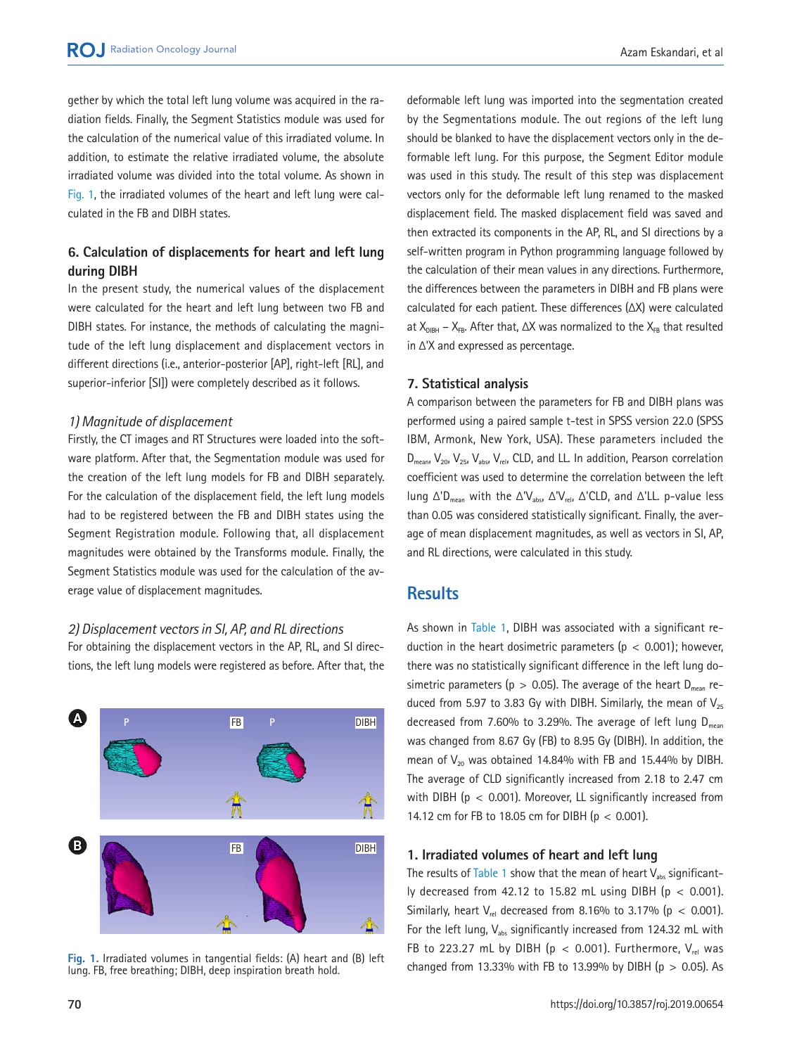gether by which the total left lung volume was acquired in the radiation fields. Finally, the Segment Statistics module was used for the calculation of the numerical value of this irradiated volume. In addition, to estimate the relative irradiated volume, the absolute irradiated volume was divided into the total volume. As shown in [Fig. 1,](#page-2-0) the irradiated volumes of the heart and left lung were calculated in the FB and DIBH states.

## **6. Calculation of displacements for heart and left lung during DIBH**

In the present study, the numerical values of the displacement were calculated for the heart and left lung between two FB and DIBH states. For instance, the methods of calculating the magnitude of the left lung displacement and displacement vectors in different directions (i.e., anterior-posterior [AP], right-left [RL], and superior-inferior [SI]) were completely described as it follows.

## *1) Magnitude of displacement*

Firstly, the CT images and RT Structures were loaded into the software platform. After that, the Segmentation module was used for the creation of the left lung models for FB and DIBH separately. For the calculation of the displacement field, the left lung models had to be registered between the FB and DIBH states using the Segment Registration module. Following that, all displacement magnitudes were obtained by the Transforms module. Finally, the Segment Statistics module was used for the calculation of the average value of displacement magnitudes.

## *2) Displacement vectors in SI, AP, and RL directions*

For obtaining the displacement vectors in the AP, RL, and SI directions, the left lung models were registered as before. After that, the

<span id="page-2-0"></span>

lung. FB, free breathing; DIBH, deep inspiration breath hold.

deformable left lung was imported into the segmentation created by the Segmentations module. The out regions of the left lung should be blanked to have the displacement vectors only in the deformable left lung. For this purpose, the Segment Editor module was used in this study. The result of this step was displacement vectors only for the deformable left lung renamed to the masked displacement field. The masked displacement field was saved and then extracted its components in the AP, RL, and SI directions by a self-written program in Python programming language followed by the calculation of their mean values in any directions. Furthermore, the differences between the parameters in DIBH and FB plans were calculated for each patient. These differences (ΔX) were calculated at  $X_{DIBH}$  –  $X_{FB}$ . After that, ΔX was normalized to the  $X_{FB}$  that resulted in Δ'X and expressed as percentage.

## **7. Statistical analysis**

A comparison between the parameters for FB and DIBH plans was performed using a paired sample t-test in SPSS version 22.0 (SPSS IBM, Armonk, New York, USA). These parameters included the  $D_{mean}$ ,  $V_{20}$ ,  $V_{25}$ ,  $V_{abs}$ ,  $V_{rel}$ , CLD, and LL. In addition, Pearson correlation coefficient was used to determine the correlation between the left lung  $Δ'D_{mean}$  with the  $Δ'V_{abs}$ ,  $Δ'V_{rel}$ ,  $Δ'CLD$ , and  $Δ'LL$ . p-value less than 0.05 was considered statistically significant. Finally, the average of mean displacement magnitudes, as well as vectors in SI, AP, and RL directions, were calculated in this study.

# **Results**

As shown in [Table 1,](#page-3-0) DIBH was associated with a significant reduction in the heart dosimetric parameters ( $p < 0.001$ ); however, there was no statistically significant difference in the left lung dosimetric parameters ( $p > 0.05$ ). The average of the heart  $D_{mean}$  reduced from 5.97 to 3.83 Gy with DIBH. Similarly, the mean of  $V_{25}$ decreased from 7.60% to 3.29%. The average of left lung  $D_{mean}$ was changed from 8.67 Gy (FB) to 8.95 Gy (DIBH). In addition, the mean of  $V_{20}$  was obtained 14.84% with FB and 15.44% by DIBH. The average of CLD significantly increased from 2.18 to 2.47 cm with DIBH ( $p < 0.001$ ). Moreover, LL significantly increased from 14.12 cm for FB to 18.05 cm for DIBH (p < 0.001).

## **1. Irradiated volumes of heart and left lung**

The results of [Table 1](#page-3-0) show that the mean of heart  $V_{\text{abs}}$  significantly decreased from 42.12 to 15.82 mL using DIBH ( $p < 0.001$ ). Similarly, heart  $V_{rel}$  decreased from 8.16% to 3.17% (p < 0.001). For the left lung,  $V_{\text{abs}}$  significantly increased from 124.32 mL with FB to 223.27 mL by DIBH ( $p < 0.001$ ). Furthermore, V<sub>rel</sub> was Fig. 1. Irradiated volumes in tangential fields: (A) heart and (B) left<br>Fig. 1. Irradiated volumes in tangential fields: (A) heart and (B) left<br>changed from 13.33% with FB to 13.99% by DIBH (p > 0.05). As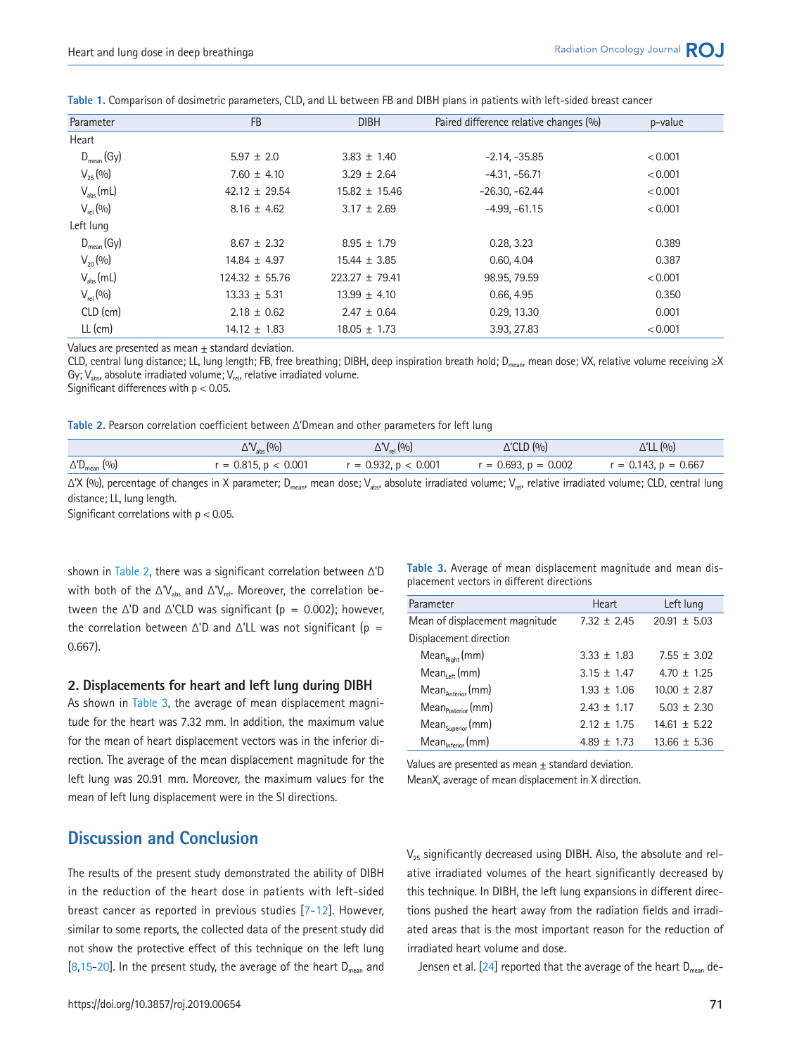| Parameter             | <b>FB</b>          | <b>DIBH</b>        | Paired difference relative changes (%) | p-value |
|-----------------------|--------------------|--------------------|----------------------------------------|---------|
| Heart                 |                    |                    |                                        |         |
| $D_{mean}(Gy)$        | $5.97 \pm 2.0$     | $3.83 \pm 1.40$    | $-2.14, -35.85$                        | < 0.001 |
| $V_{25}$ (%)          | $7.60 \pm 4.10$    | $3.29 \pm 2.64$    | $-4.31, -56.71$                        | < 0.001 |
| $V_{\text{abs}}$ (mL) | $42.12 \pm 29.54$  | $15.82 \pm 15.46$  | $-26.30, -62.44$                       | < 0.001 |
| $V_{rel}$ (%)         | $8.16 \pm 4.62$    | $3.17 \pm 2.69$    | $-4.99. -61.15$                        | < 0.001 |
| Left lung             |                    |                    |                                        |         |
| $D_{mean}(Gy)$        | $8.67 \pm 2.32$    | $8.95 \pm 1.79$    | 0.28, 3.23                             | 0.389   |
| $V_{20}$ (%)          | $14.84 \pm 4.97$   | $15.44 \pm 3.85$   | 0.60, 4.04                             | 0.387   |
| $V_{\text{abs}}(mL)$  | $124.32 \pm 55.76$ | $223.27 \pm 79.41$ | 98.95, 79.59                           | < 0.001 |
| $V_{rel} (0/0)$       | $13.33 \pm 5.31$   | $13.99 \pm 4.10$   | 0.66, 4.95                             | 0.350   |
| CLD (cm)              | $2.18 \pm 0.62$    | $2.47 \pm 0.64$    | 0.29, 13.30                            | 0.001   |
| $LL$ (cm)             | $14.12 \pm 1.83$   | $18.05 \pm 1.73$   | 3.93, 27.83                            | < 0.001 |
|                       |                    |                    |                                        |         |

<span id="page-3-0"></span>**Table 1.** Comparison of dosimetric parameters, CLD, and LL between FB and DIBH plans in patients with left-sided breast cancer

Values are presented as mean + standard deviation.

CLD, central lung distance; LL, lung length; FB, free breathing; DIBH, deep inspiration breath hold; D<sub>mean</sub>, mean dose; VX, relative volume receiving ≥X Gy;  $V_{\text{abs}}$ , absolute irradiated volume;  $V_{\text{rel}}$ , relative irradiated volume.

Significant differences with  $p < 0.05$ .

<span id="page-3-1"></span>**Table 2.** Pearson correlation coefficient between Δ'Dmean and other parameters for left lung

|                                 | $\Delta V_{\rm abs}(0/0)$ | $\Delta V_{rel}$ (%)      | $\triangle$ 'CLD $(9/0)$  | $\Delta'$ LL $(9/0)$      |
|---------------------------------|---------------------------|---------------------------|---------------------------|---------------------------|
| $\Delta$ 'D <sub>mean</sub> (%) | $r = 0.815$ , $p < 0.001$ | $r = 0.932$ , $p < 0.001$ | $r = 0.693$ , $p = 0.002$ | $r = 0.143$ , $p = 0.667$ |

 $\Delta'X$  (%), percentage of changes in X parameter; D<sub>mean</sub>, mean dose; V<sub>abs</sub>, absolute irradiated volume; V<sub>rel</sub>, relative irradiated volume; CLD, central lung distance; LL, lung length.

Significant correlations with p < 0.05.

shown in [Table 2](#page-3-1), there was a significant correlation between Δ'D with both of the  $\Delta V_{\text{abs}}$  and  $\Delta V_{\text{rel}}$ . Moreover, the correlation between the  $\Delta'$ D and  $\Delta'$ CLD was significant (p = 0.002); however, the correlation between  $\Delta'$ D and  $\Delta'$ LL was not significant (p = 0.667).

#### **2. Displacements for heart and left lung during DIBH**

As shown in [Table 3](#page-3-2), the average of mean displacement magnitude for the heart was 7.32 mm. In addition, the maximum value for the mean of heart displacement vectors was in the inferior direction. The average of the mean displacement magnitude for the left lung was 20.91 mm. Moreover, the maximum values for the mean of left lung displacement were in the SI directions.

# placement vectors in different directions Parameter **Heart** Left lung

<span id="page-3-2"></span>**Table 3.** Average of mean displacement magnitude and mean dis-

| <u>i didilit iti</u>           | HCAL            | LCIL IUIIU       |
|--------------------------------|-----------------|------------------|
| Mean of displacement magnitude | $7.32 \pm 2.45$ | $20.91 \pm 5.03$ |
| Displacement direction         |                 |                  |
| $MeanRight$ (mm)               | $3.33 \pm 1.83$ | $7.55 \pm 3.02$  |
| $Mean_{left}(mm)$              | $3.15 \pm 1.47$ | $4.70 + 1.25$    |
| Mean Anterior (mm)             | $1.93 \pm 1.06$ | $10.00 \pm 2.87$ |
| $Mean_{Posterior}(mm)$         | $2.43 + 1.17$   | $5.03 + 2.30$    |
| Mean <sub>Superior</sub> (mm)  | $2.12 \pm 1.75$ | $14.61 \pm 5.22$ |
| Mean <sub>Inferior</sub> (mm)  | $4.89 \pm 1.73$ | $13.66 \pm 5.36$ |

Values are presented as mean  $\pm$  standard deviation.

MeanX, average of mean displacement in X direction.

# **Discussion and Conclusion**

The results of the present study demonstrated the ability of DIBH in the reduction of the heart dose in patients with left-sided breast cancer as reported in previous studies [7-12]. However, similar to some reports, the collected data of the present study did not show the protective effect of this technique on the left lung  $[8,15-20]$ . In the present study, the average of the heart  $D_{mean}$  and

 $V_{25}$  significantly decreased using DIBH. Also, the absolute and relative irradiated volumes of the heart significantly decreased by this technique. In DIBH, the left lung expansions in different directions pushed the heart away from the radiation fields and irradiated areas that is the most important reason for the reduction of irradiated heart volume and dose.

Jensen et al.  $[24]$  reported that the average of the heart  $D_{mean}$  de-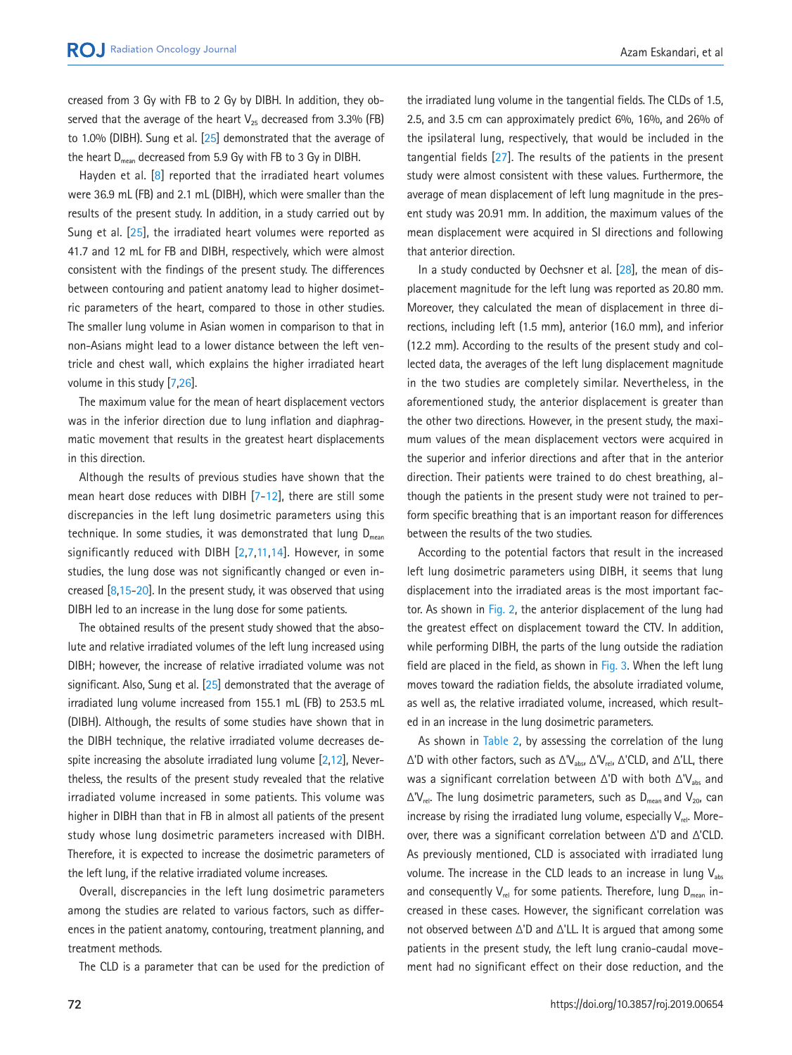creased from 3 Gy with FB to 2 Gy by DIBH. In addition, they observed that the average of the heart  $V_{25}$  decreased from 3.3% (FB) to 1.0% (DIBH). Sung et al. [\[25\]](#page-7-6) demonstrated that the average of the heart  $D_{mean}$  decreased from 5.9 Gy with FB to 3 Gy in DIBH.

Hayden et al. [8] reported that the irradiated heart volumes were 36.9 mL (FB) and 2.1 mL (DIBH), which were smaller than the results of the present study. In addition, in a study carried out by Sung et al. [\[25](#page-7-6)], the irradiated heart volumes were reported as 41.7 and 12 mL for FB and DIBH, respectively, which were almost consistent with the findings of the present study. The differences between contouring and patient anatomy lead to higher dosimetric parameters of the heart, compared to those in other studies. The smaller lung volume in Asian women in comparison to that in non-Asians might lead to a lower distance between the left ventricle and chest wall, which explains the higher irradiated heart volume in this study [7,[26\]](#page-7-9).

The maximum value for the mean of heart displacement vectors was in the inferior direction due to lung inflation and diaphragmatic movement that results in the greatest heart displacements in this direction.

Although the results of previous studies have shown that the mean heart dose reduces with DIBH [7-12], there are still some discrepancies in the left lung dosimetric parameters using this technique. In some studies, it was demonstrated that lung  $D_{mean}$ significantly reduced with DIBH [2,7,11,14]. However, in some studies, the lung dose was not significantly changed or even increased [8,15-20]. In the present study, it was observed that using DIBH led to an increase in the lung dose for some patients.

The obtained results of the present study showed that the absolute and relative irradiated volumes of the left lung increased using DIBH; however, the increase of relative irradiated volume was not significant. Also, Sung et al. [\[25\]](#page-7-6) demonstrated that the average of irradiated lung volume increased from 155.1 mL (FB) to 253.5 mL (DIBH). Although, the results of some studies have shown that in the DIBH technique, the relative irradiated volume decreases despite increasing the absolute irradiated lung volume [2,12], Nevertheless, the results of the present study revealed that the relative irradiated volume increased in some patients. This volume was higher in DIBH than that in FB in almost all patients of the present study whose lung dosimetric parameters increased with DIBH. Therefore, it is expected to increase the dosimetric parameters of the left lung, if the relative irradiated volume increases.

Overall, discrepancies in the left lung dosimetric parameters among the studies are related to various factors, such as differences in the patient anatomy, contouring, treatment planning, and treatment methods.

The CLD is a parameter that can be used for the prediction of

the irradiated lung volume in the tangential fields. The CLDs of 1.5, 2.5, and 3.5 cm can approximately predict 6%, 16%, and 26% of the ipsilateral lung, respectively, that would be included in the tangential fields [\[27\]](#page-7-10). The results of the patients in the present study were almost consistent with these values. Furthermore, the average of mean displacement of left lung magnitude in the present study was 20.91 mm. In addition, the maximum values of the mean displacement were acquired in SI directions and following that anterior direction.

In a study conducted by Oechsner et al.  $[28]$  $[28]$ , the mean of displacement magnitude for the left lung was reported as 20.80 mm. Moreover, they calculated the mean of displacement in three directions, including left (1.5 mm), anterior (16.0 mm), and inferior (12.2 mm). According to the results of the present study and collected data, the averages of the left lung displacement magnitude in the two studies are completely similar. Nevertheless, in the aforementioned study, the anterior displacement is greater than the other two directions. However, in the present study, the maximum values of the mean displacement vectors were acquired in the superior and inferior directions and after that in the anterior direction. Their patients were trained to do chest breathing, although the patients in the present study were not trained to perform specific breathing that is an important reason for differences between the results of the two studies.

According to the potential factors that result in the increased left lung dosimetric parameters using DIBH, it seems that lung displacement into the irradiated areas is the most important factor. As shown in [Fig. 2](#page-5-0), the anterior displacement of the lung had the greatest effect on displacement toward the CTV. In addition, while performing DIBH, the parts of the lung outside the radiation field are placed in the field, as shown in [Fig. 3.](#page-5-1) When the left lung moves toward the radiation fields, the absolute irradiated volume, as well as, the relative irradiated volume, increased, which resulted in an increase in the lung dosimetric parameters.

As shown in Table 2, by assessing the correlation of the lung  $Δ'D$  with other factors, such as  $Δ'V_{abs}$ ,  $Δ'V_{rel}$ ,  $Δ'CLD$ , and  $Δ'LL$ , there was a significant correlation between  $\Delta$ 'D with both  $\Delta$ 'V<sub>abs</sub> and  $\Delta V_{rel}$ . The lung dosimetric parameters, such as D<sub>mean</sub> and V<sub>20</sub>, can increase by rising the irradiated lung volume, especially  $V_{rel}$ . Moreover, there was a significant correlation between Δ'D and Δ'CLD. As previously mentioned, CLD is associated with irradiated lung volume. The increase in the CLD leads to an increase in lung  $V_{\text{abs}}$ and consequently  $V_{rel}$  for some patients. Therefore, lung  $D_{mean}$  increased in these cases. However, the significant correlation was not observed between Δ'D and Δ'LL. It is argued that among some patients in the present study, the left lung cranio-caudal movement had no significant effect on their dose reduction, and the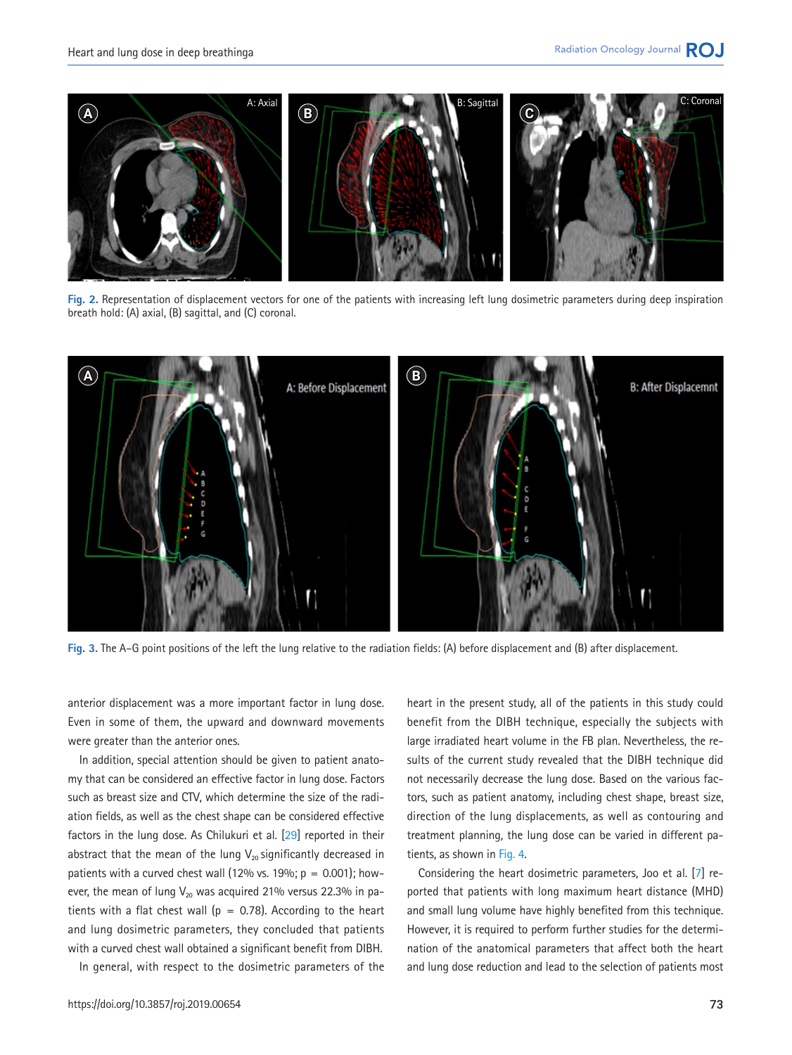<span id="page-5-0"></span>

**Fig. 2.** Representation of displacement vectors for one of the patients with increasing left lung dosimetric parameters during deep inspiration breath hold: (A) axial, (B) sagittal, and (C) coronal.

<span id="page-5-1"></span>

**Fig. 3.** The A–G point positions of the left the lung relative to the radiation fields: (A) before displacement and (B) after displacement.

anterior displacement was a more important factor in lung dose. Even in some of them, the upward and downward movements were greater than the anterior ones.

In addition, special attention should be given to patient anatomy that can be considered an effective factor in lung dose. Factors such as breast size and CTV, which determine the size of the radiation fields, as well as the chest shape can be considered effective factors in the lung dose. As Chilukuri et al. [\[29](#page-7-12)] reported in their abstract that the mean of the lung  $V_{20}$  significantly decreased in patients with a curved chest wall (12% vs. 19%;  $p = 0.001$ ); however, the mean of lung  $V_{20}$  was acquired 21% versus 22.3% in patients with a flat chest wall ( $p = 0.78$ ). According to the heart and lung dosimetric parameters, they concluded that patients with a curved chest wall obtained a significant benefit from DIBH.

In general, with respect to the dosimetric parameters of the

large irradiated heart volume in the FB plan. Nevertheless, the results of the current study revealed that the DIBH technique did not necessarily decrease the lung dose. Based on the various factors, such as patient anatomy, including chest shape, breast size, direction of the lung displacements, as well as contouring and treatment planning, the lung dose can be varied in different patients, as shown in [Fig. 4](#page-6-8). Considering the heart dosimetric parameters, Joo et al. [7] re-

ported that patients with long maximum heart distance (MHD) and small lung volume have highly benefited from this technique. However, it is required to perform further studies for the determination of the anatomical parameters that affect both the heart and lung dose reduction and lead to the selection of patients most

heart in the present study, all of the patients in this study could benefit from the DIBH technique, especially the subjects with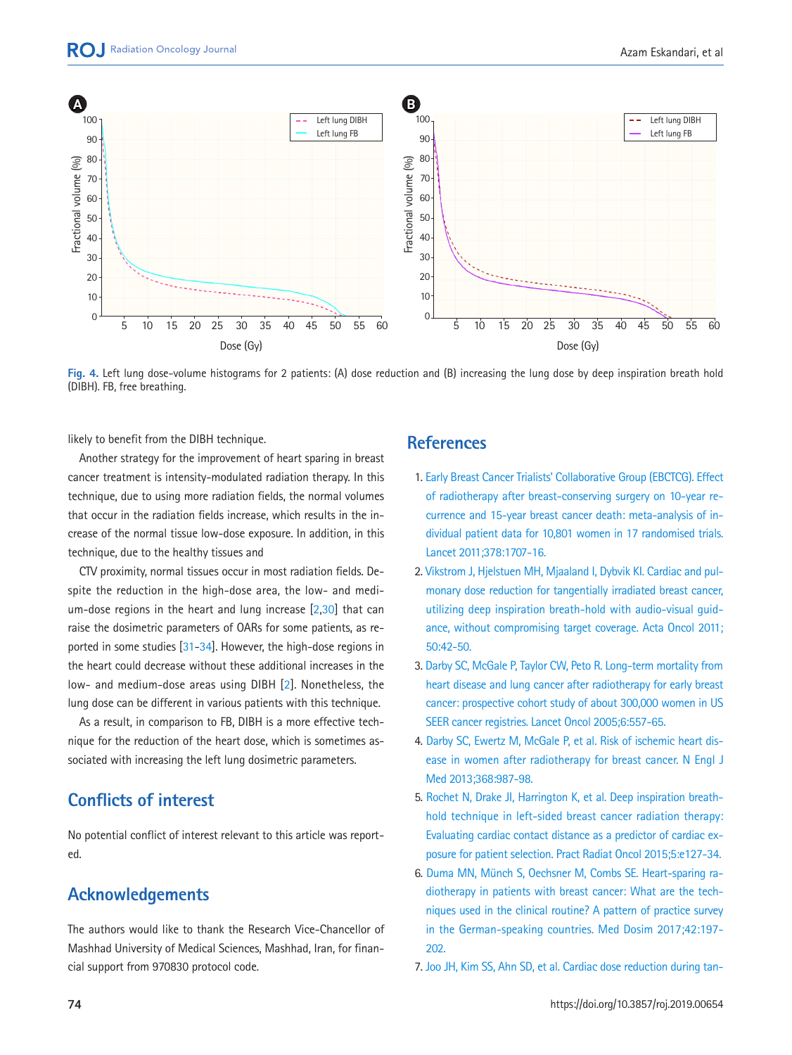<span id="page-6-8"></span>

**Fig. 4.** Left lung dose-volume histograms for 2 patients: (A) dose reduction and (B) increasing the lung dose by deep inspiration breath hold (DIBH). FB, free breathing.

likely to benefit from the DIBH technique.

Another strategy for the improvement of heart sparing in breast cancer treatment is intensity-modulated radiation therapy. In this technique, due to using more radiation fields, the normal volumes that occur in the radiation fields increase, which results in the increase of the normal tissue low-dose exposure. In addition, in this technique, due to the healthy tissues and

<span id="page-6-9"></span>CTV proximity, normal tissues occur in most radiation fields. Despite the reduction in the high-dose area, the low- and medium-dose regions in the heart and lung increase [[2](#page-6-9)[,30\]](#page-7-13) that can raise the dosimetric parameters of OARs for some patients, as reported in some studies [\[31](#page-7-14)[-34](#page-8-0)]. However, the high-dose regions in the heart could decrease without these additional increases in the low- and medium-dose areas using DIBH [\[2](#page-6-9)]. Nonetheless, the lung dose can be different in various patients with this technique.

As a result, in comparison to FB, DIBH is a more effective technique for the reduction of the heart dose, which is sometimes associated with increasing the left lung dosimetric parameters.

# **Conflicts of interest**

No potential conflict of interest relevant to this article was reported.

# **Acknowledgements**

<span id="page-6-1"></span>The authors would like to thank the Research Vice-Chancellor of Mashhad University of Medical Sciences, Mashhad, Iran, for financial support from 970830 protocol code.

# **References**

- <span id="page-6-0"></span>[1. Early Breast Cancer Trialists' Collaborative Group \(EBCTCG\). Effect](https://www.ncbi.nlm.nih.gov/pubmed/22019144) [of radiotherapy after breast-conserving surgery on 10-year re](https://www.ncbi.nlm.nih.gov/pubmed/22019144)[currence and 15-year breast cancer death: meta-analysis of in](https://www.ncbi.nlm.nih.gov/pubmed/22019144)[dividual patient data for 10,801 women in 1](https://www.ncbi.nlm.nih.gov/pubmed/22019144)7 randomised trials. Lancet 2011;378:1707-16.
- <span id="page-6-3"></span>2. Vikst[rom J, Hjelstuen MH, Mjaaland I, Dybvik KI. Cardiac and pul](https://doi.org/10.3109/0284186X.2010.512923)[monary dose reduction for tangentially irradiated breast cancer,](https://doi.org/10.3109/0284186X.2010.512923)  [utilizing deep inspiration breath-hold with audio-visual guid](https://doi.org/10.3109/0284186X.2010.512923)[ance, without compromising target coverage.](https://doi.org/10.3109/0284186X.2010.512923) Acta Oncol 2011; 50:42-50.
- <span id="page-6-2"></span>[3. Darby SC, McGale P, Taylor CW, Peto R. Long-term mortality from](https://doi.org/10.1016/S1470-2045(05)70251-5)  [heart disease and lung cancer after radiotherapy for early breast](https://doi.org/10.1016/S1470-2045(05)70251-5)  [cancer: prospective cohort study of about 300,000 women in US](https://doi.org/10.1016/S1470-2045(05)70251-5)  [SEER cancer registries. Lancet Oncol 2005](https://doi.org/10.1016/S1470-2045(05)70251-5);6:557-65.
- 4. [Darby SC, Ewertz M, McGale P, et al. Risk of ischemic heart dis](https://doi.org/10.1056/NEJMoa1209825)[ease in women after radiotherapy for breast cancer. N Engl J](https://doi.org/10.1056/NEJMoa1209825) [Med 2013;368:987-98.](https://doi.org/10.1056/NEJMoa1209825)
- <span id="page-6-5"></span>5. Rochet N, Drake JI, Harrington K, et al. Deep inspiration breathhold technique in left-sided breast cancer radiation the[rapy:](https://doi.org/10.1016/j.prro.2014.08.003)  [Evaluating cardiac contact distance as a predictor of cardiac ex](https://doi.org/10.1016/j.prro.2014.08.003)[posure for patient selection. Pract Radiat Oncol](https://doi.org/10.1016/j.prro.2014.08.003) 2015;5:e127-34.
- <span id="page-6-6"></span><span id="page-6-4"></span>6. Duma MN, Münch S, Oechsner M, Combs SE. Heart-sparing radiothera[py in patients with breast cancer: What are the tech](https://doi.org/10.1016/j.meddos.2017.03.002)[niques used in the clinical routine? A pattern of practice survey](https://doi.org/10.1016/j.meddos.2017.03.002)  [in the German-speaking countries. Med Dosim](https://doi.org/10.1016/j.meddos.2017.03.002) 2017;42:197- 202.
- <span id="page-6-7"></span>7. Joo JH, Kim SS, Ahn S[D, et al. Cardiac dose reduction during tan-](https://doi.org/10.1186/s13014-015-0573-7)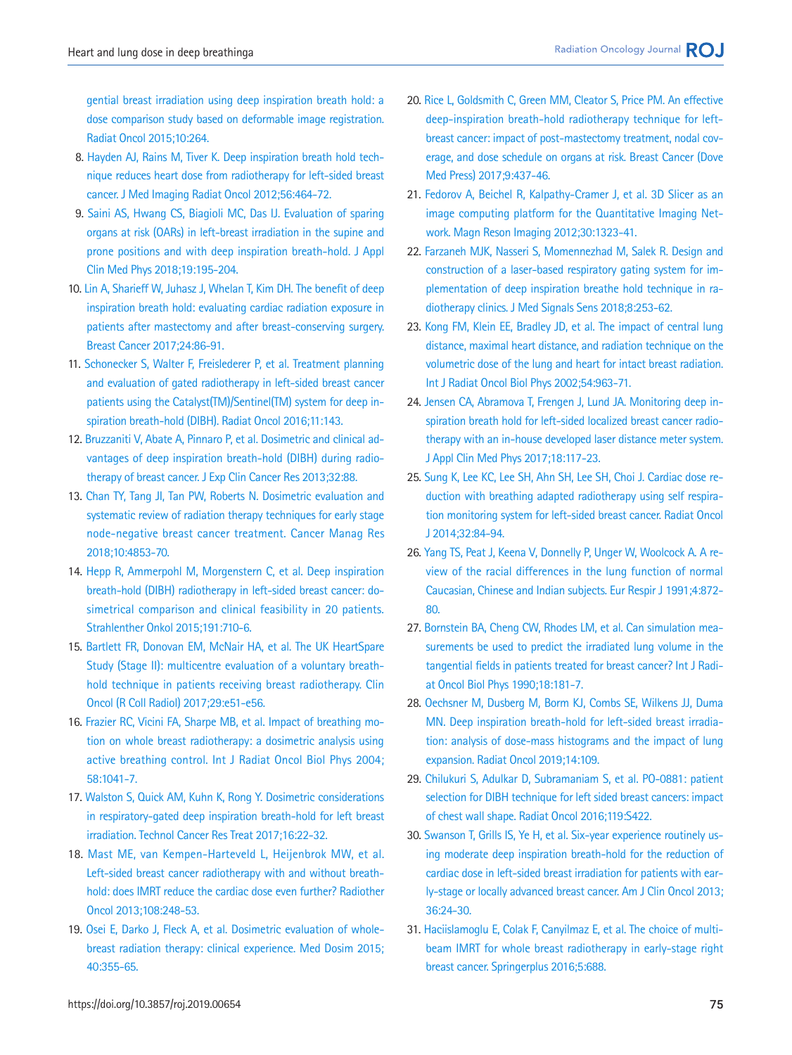[gential breast irradiation using deep inspiration breath hold: a](https://doi.org/10.1186/s13014-015-0573-7)  [dose comparison study based on deformable image registration.](https://doi.org/10.1186/s13014-015-0573-7)  [Radiat Oncol 2015;10:264.](https://doi.org/10.1186/s13014-015-0573-7)

- 8. [Hayden AJ, Rains M, Tiver K. Deep inspiration breath hold tech](https://doi.org/10.1111/j.1754-9485.2012.02405.x)[nique reduces heart dose from radiotherapy for left-sided breast](https://doi.org/10.1111/j.1754-9485.2012.02405.x)  [cancer. J Med Imaging Radiat Oncol 2012;56:464-72.](https://doi.org/10.1111/j.1754-9485.2012.02405.x)
- <span id="page-7-0"></span>9. Saini AS, Hwang CS, Biagioli MC, Das IJ. Evaluation of sparing organs at risk ([OARs\) in left-breast irradiation in the supine and](https://doi.org/10.1002/acm2.12382)  [prone positions and with deep inspiration breath-hold. J Appl](https://doi.org/10.1002/acm2.12382)  [Clin Med Phys 2018;19:195-204.](https://doi.org/10.1002/acm2.12382)
- 10. [Lin A, Sharieff W, Juhasz J, Whelan T, Kim DH. The benefit of deep](https://doi.org/10.1007/s12282-016-0676-5)  [inspiration breath hold: evaluating cardiac radiation exposure in](https://doi.org/10.1007/s12282-016-0676-5)  [patients after mastectomy and after breast-conserving surgery.](https://doi.org/10.1007/s12282-016-0676-5)  [Breast Cancer 2017;24:86-91.](https://doi.org/10.1007/s12282-016-0676-5)
- <span id="page-7-2"></span>11. Schonec[ker S, Walter F, Freislederer P, et al. Treatment planning](https://doi.org/10.1186/s13014-016-0716-5)  [and evaluation of gated radiotherapy in left-sided breast cancer](https://doi.org/10.1186/s13014-016-0716-5)  [patients using the Catalyst\(TM\)/Sentinel\(TM\) system for deep in](https://doi.org/10.1186/s13014-016-0716-5)[spiration breath-hold \(DIBH\). Radiat Oncol](https://doi.org/10.1186/s13014-016-0716-5) 2016;11:143.
- 12. Bruzzaniti [V, Abate A, Pinnaro P, et al. Dosimetric and clinical ad](https://doi.org/10.1186/1756-9966-32-88)[vantages of deep inspiration breath-hold \(DIBH\) during radio](https://doi.org/10.1186/1756-9966-32-88)[therapy of breast cancer. J Exp Clin Cancer Res 2013;32:88.](https://doi.org/10.1186/1756-9966-32-88)
- <span id="page-7-1"></span>1[3. Chan TY, Tang JI, Tan PW, Roberts N. Dosimetric evaluation and](https://doi.org/10.2147/CMAR.S172818)  [systematic review of radiation therapy techniques for early stage](https://doi.org/10.2147/CMAR.S172818)  [node-negative breast cancer treatment. Cancer Manag Res](https://doi.org/10.2147/CMAR.S172818)  [2018;10:4853-70.](https://doi.org/10.2147/CMAR.S172818)
- 14. [Hepp R, Ammerpohl M, Morgenstern C, et al. Deep inspiration](https://doi.org/10.1007/s00066-015-0838-y)  [breath-hold \(DIBH\) radiotherapy in left-sided breast cancer: do](https://doi.org/10.1007/s00066-015-0838-y)[simetrical comparison and clinical feasibility in 20 patients.](https://doi.org/10.1007/s00066-015-0838-y)  [Strahlenther Onkol 2015;191:710-6.](https://doi.org/10.1007/s00066-015-0838-y)
- 15. [Bartlett FR, Donovan EM, McNair HA, et al. The UK HeartSpare](https://doi.org/10.1016/j.clon.2016.11.005)  [Study \(Stage II\): multicentre evaluation of a voluntary breath](https://doi.org/10.1016/j.clon.2016.11.005)[hold technique in patients receiving breast radiotherapy. Clin](https://doi.org/10.1016/j.clon.2016.11.005)  [Oncol \(R Coll Radiol\) 2017;29:e51-e56.](https://doi.org/10.1016/j.clon.2016.11.005)
- <span id="page-7-4"></span>16. F[razier RC, Vicini FA, Sharpe MB, et al. Impact of breathing mo](https://doi.org/10.1016/j.ijrobp.2003.07.005)[tion on whole breast radiotherapy: a dosimetric analysis using](https://doi.org/10.1016/j.ijrobp.2003.07.005)  [active breathing control. Int J Radiat Oncol Biol Phys 2004;](https://doi.org/10.1016/j.ijrobp.2003.07.005) [58:1041-7.](https://doi.org/10.1016/j.ijrobp.2003.07.005)
- 17. [Walston S, Quick AM, Kuhn K, Rong Y. Dosimetric considerations](https://doi.org/10.1177/1533034615624311)  [in respiratory-gated deep inspiration breath-hold for left breast](https://doi.org/10.1177/1533034615624311)  [irradiation. Technol Cancer Res Treat 2017;16:22-32.](https://doi.org/10.1177/1533034615624311)
- 18. [Mast ME, van Kempen-Harteveld L, Heijenbrok MW, et al.](https://doi.org/10.1016/j.radonc.2013.07.017)  [Left-sided breast cancer radiotherapy with and without breath](https://doi.org/10.1016/j.radonc.2013.07.017)[hold: does IMRT reduce the cardiac dose even further? Radiother](https://doi.org/10.1016/j.radonc.2013.07.017)  [Oncol 2013;108:248-53.](https://doi.org/10.1016/j.radonc.2013.07.017)
- 19. [Osei E, Darko J, Fleck A, et al. Dosimetric evaluation of whole](https://doi.org/10.1016/j.meddos.2015.05.001)[breast radiation therapy: clinical experience. Med Dosim 2015;](https://doi.org/10.1016/j.meddos.2015.05.001) [40:355-65.](https://doi.org/10.1016/j.meddos.2015.05.001)
- 20. [Rice L, Goldsmith C, Green MM, Cleator S, Price PM. An effective](https://doi.org/10.2147/BCTT.S130090)  [deep-inspiration breath-hold radiotherapy technique for left](https://doi.org/10.2147/BCTT.S130090)[breast cancer: impact of post-mastectomy treatment, nodal cov](https://doi.org/10.2147/BCTT.S130090)[erage, and dose schedule on organs at risk.](https://doi.org/10.2147/BCTT.S130090) Breast Cancer (Dove Med Press) 2017;9:437-46.
- <span id="page-7-5"></span>21. [Fedorov A, Beichel R, Kalpathy-Cramer J, et al. 3D Slicer as an](https://doi.org/10.1016/j.mri.2012.05.001)  [image computing platform for the Quantitative Imaging Net](https://doi.org/10.1016/j.mri.2012.05.001)[work. Magn Reson Imaging 2012;30:1323-41.](https://doi.org/10.1016/j.mri.2012.05.001)
- <span id="page-7-6"></span>22. Farzaneh MJK, Nasseri S, Momennezhad M, Salek R. Design and construction of a laser-based [respiratory gating system for im](https://doi.org/10.4103/jmss.JMSS_35_18)[plementation of deep inspiration breathe hold technique in ra](https://doi.org/10.4103/jmss.JMSS_35_18)[diotherapy clinics. J Med Signals Sens 2018](https://doi.org/10.4103/jmss.JMSS_35_18);8:253-62.
- <span id="page-7-7"></span>2[3. Kong FM, Klein EE, Bradley JD, et al. The impact of central lung](https://doi.org/10.1016/S0360-3016(02)03741-0)  [distance, maximal heart distance, and radiation technique on the](https://doi.org/10.1016/S0360-3016(02)03741-0) [volumetric dose of the lung and heart for intact breast radiation.](https://doi.org/10.1016/S0360-3016(02)03741-0)  [Int J Radiat Oncol Biol Phys 2002;54:963-71](https://doi.org/10.1016/S0360-3016(02)03741-0).
- <span id="page-7-8"></span><span id="page-7-3"></span>2[4. Jensen CA, Abramova T, Frengen J, Lund JA. Monitoring deep in](https://doi.org/10.1002/acm2.12137)[spiration breath hold for left-sided localized breast cancer radio](https://doi.org/10.1002/acm2.12137)[therapy with an in-house developed laser distance meter system.](https://doi.org/10.1002/acm2.12137)  [J Appl Clin Med Phys 2017;18:117-23.](https://doi.org/10.1002/acm2.12137)
- 25. [Sung K, Lee KC, Lee SH, Ahn SH, Lee SH, Choi J. Cardiac dose re](https://doi.org/10.3857/roj.2014.32.2.84)[duction with breathing adapted radiotherapy using self respira](https://doi.org/10.3857/roj.2014.32.2.84)[tion monitoring system for left-sided breast cancer. Radiat Oncol](https://doi.org/10.3857/roj.2014.32.2.84)  [J 2014;32:84-94.](https://doi.org/10.3857/roj.2014.32.2.84)
- <span id="page-7-9"></span>2[6. Yang TS, Peat J, Keena V, Donnelly P, Unger W, Woolcock A. A re](https://www.ncbi.nlm.nih.gov/pubmed/1955009)[view of the racial differences in the lung function of normal](https://www.ncbi.nlm.nih.gov/pubmed/1955009)  [Caucasian, Chinese and Indian subjects. Eur Respir J 1991;4:872-](https://www.ncbi.nlm.nih.gov/pubmed/1955009) [80](https://www.ncbi.nlm.nih.gov/pubmed/1955009).
- <span id="page-7-10"></span>2[7. Bornstein BA, Cheng CW, Rhodes LM, et al. Can simulation mea](https://doi.org/10.1016/0360-3016(90)90282-O)[surements be used to predict the irradiated lung volume in the](https://doi.org/10.1016/0360-3016(90)90282-O)  [tangential fields in patients treated for breast cancer? Int J Radi](https://doi.org/10.1016/0360-3016(90)90282-O)[at Oncol Biol Phys 1990;18:181-7.](https://doi.org/10.1016/0360-3016(90)90282-O)
- <span id="page-7-11"></span>2[8. Oechsner M, Dusberg M, Borm KJ, Combs SE, Wilkens JJ, Duma](https://doi.org/10.1186/s13014-019-1293-1)  [MN. Deep inspiration breath-hold for left-sided breast irradia](https://doi.org/10.1186/s13014-019-1293-1)[tion: analysis of dose-mass histograms and the impact of lung](https://doi.org/10.1186/s13014-019-1293-1)  [expansion. Radiat Oncol 2019;14:109](https://doi.org/10.1186/s13014-019-1293-1).
- <span id="page-7-12"></span>2[9. Chilukuri S, Adulkar D, Subramaniam S, et al. PO-0881: patient](https://doi.org/10.1016/S0167-8140(16)32131-4)  [selection for DIBH technique for left sided breast cancers: impact](https://doi.org/10.1016/S0167-8140(16)32131-4) [of chest wall shape. Radiat Oncol 2016;119:S422.](https://doi.org/10.1016/S0167-8140(16)32131-4)
- <span id="page-7-13"></span>3[0. Swanson T, Grills IS, Ye H, et al. Six-year experience routinely us](https://doi.org/10.1097/COC.0b013e31823fe481)[ing moderate deep inspiration breath-hold for the reduction of](https://doi.org/10.1097/COC.0b013e31823fe481) [cardiac dose in left-sided breast irradiation for patients with ear](https://doi.org/10.1097/COC.0b013e31823fe481)[ly-stage or locally advanced breast cancer. Am](https://doi.org/10.1097/COC.0b013e31823fe481) J Clin Oncol 2013; 36:24-30.
- <span id="page-7-14"></span>3[1. Haciislamoglu E, Colak F, Canyilmaz E, et al. The choice of multi](https://doi.org/10.1186/s40064-016-2314-2)[beam IMRT for whole breast radiotherapy in early-stage right](https://doi.org/10.1186/s40064-016-2314-2)  [breast cancer. Springerplus 2016;5:688](https://doi.org/10.1186/s40064-016-2314-2).